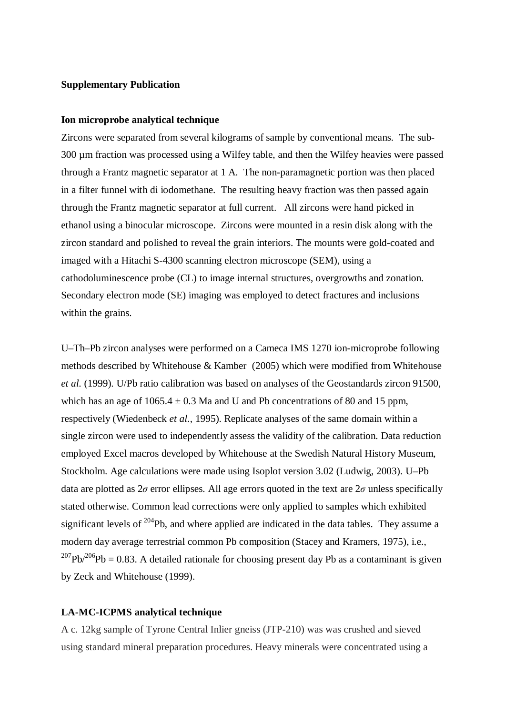### **Supplementary Publication**

# **Ion microprobe analytical technique**

Zircons were separated from several kilograms of sample by conventional means. The sub-300 µm fraction was processed using a Wilfey table, and then the Wilfey heavies were passed through a Frantz magnetic separator at 1 A. The non-paramagnetic portion was then placed in a filter funnel with di iodomethane. The resulting heavy fraction was then passed again through the Frantz magnetic separator at full current. All zircons were hand picked in ethanol using a binocular microscope. Zircons were mounted in a resin disk along with the zircon standard and polished to reveal the grain interiors. The mounts were gold-coated and imaged with a Hitachi S-4300 scanning electron microscope (SEM), using a cathodoluminescence probe (CL) to image internal structures, overgrowths and zonation. Secondary electron mode (SE) imaging was employed to detect fractures and inclusions within the grains.

U–Th–Pb zircon analyses were performed on a Cameca IMS 1270 ion-microprobe following methods described by Whitehouse & Kamber (2005) which were modified from Whitehouse *et al.* (1999). U/Pb ratio calibration was based on analyses of the Geostandards zircon 91500, which has an age of  $1065.4 \pm 0.3$  Ma and U and Pb concentrations of 80 and 15 ppm, respectively (Wiedenbeck *et al.*, 1995). Replicate analyses of the same domain within a single zircon were used to independently assess the validity of the calibration. Data reduction employed Excel macros developed by Whitehouse at the Swedish Natural History Museum, Stockholm. Age calculations were made using Isoplot version 3.02 (Ludwig, 2003). U–Pb data are plotted as  $2\sigma$  error ellipses. All age errors quoted in the text are  $2\sigma$  unless specifically stated otherwise. Common lead corrections were only applied to samples which exhibited significant levels of  $204Pb$ , and where applied are indicated in the data tables. They assume a modern day average terrestrial common Pb composition (Stacey and Kramers, 1975), i.e.,  $^{207}Pb^{206}Pb = 0.83$ . A detailed rationale for choosing present day Pb as a contaminant is given by Zeck and Whitehouse (1999).

## **LA-MC-ICPMS analytical technique**

A c. 12kg sample of Tyrone Central Inlier gneiss (JTP-210) was was crushed and sieved using standard mineral preparation procedures. Heavy minerals were concentrated using a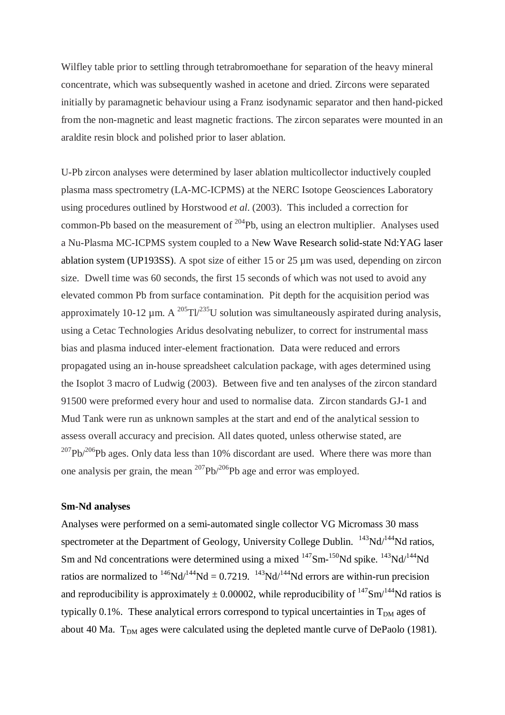Wilfley table prior to settling through tetrabromoethane for separation of the heavy mineral concentrate, which was subsequently washed in acetone and dried. Zircons were separated initially by paramagnetic behaviour using a Franz isodynamic separator and then hand-picked from the non-magnetic and least magnetic fractions. The zircon separates were mounted in an araldite resin block and polished prior to laser ablation.

U-Pb zircon analyses were determined by laser ablation multicollector inductively coupled plasma mass spectrometry (LA-MC-ICPMS) at the NERC Isotope Geosciences Laboratory using procedures outlined by Horstwood *et al*. (2003). This included a correction for common-Pb based on the measurement of  $^{204}$ Pb, using an electron multiplier. Analyses used a Nu-Plasma MC-ICPMS system coupled to a New Wave Research solid-state Nd:YAG laser ablation system (UP193SS). A spot size of either 15 or 25 µm was used, depending on zircon size. Dwell time was 60 seconds, the first 15 seconds of which was not used to avoid any elevated common Pb from surface contamination. Pit depth for the acquisition period was approximately 10-12  $\mu$ m. A <sup>205</sup>Tl<sup>235</sup>U solution was simultaneously aspirated during analysis, using a Cetac Technologies Aridus desolvating nebulizer, to correct for instrumental mass bias and plasma induced inter-element fractionation. Data were reduced and errors propagated using an in-house spreadsheet calculation package, with ages determined using the Isoplot 3 macro of Ludwig (2003). Between five and ten analyses of the zircon standard 91500 were preformed every hour and used to normalise data. Zircon standards GJ-1 and Mud Tank were run as unknown samples at the start and end of the analytical session to assess overall accuracy and precision. All dates quoted, unless otherwise stated, are  $207Pb/206Pb$  ages. Only data less than 10% discordant are used. Where there was more than one analysis per grain, the mean  $^{207}Pb^{206}Pb$  age and error was employed.

# **Sm-Nd analyses**

Analyses were performed on a semi-automated single collector VG Micromass 30 mass spectrometer at the Department of Geology, University College Dublin.  $^{143}$ Nd/ $^{144}$ Nd ratios, Sm and Nd concentrations were determined using a mixed  $^{147}$ Sm- $^{150}$ Nd spike.  $^{143}$ Nd/ $^{144}$ Nd ratios are normalized to  $^{146}Nd^{144}Nd = 0.7219$ .  $^{143}Nd^{144}Nd$  errors are within-run precision and reproducibility is approximately  $\pm$  0.00002, while reproducibility of <sup>147</sup>Sm<sup>/144</sup>Nd ratios is typically 0.1%. These analytical errors correspond to typical uncertainties in  $T_{DM}$  ages of about 40 Ma.  $T_{DM}$  ages were calculated using the depleted mantle curve of DePaolo (1981).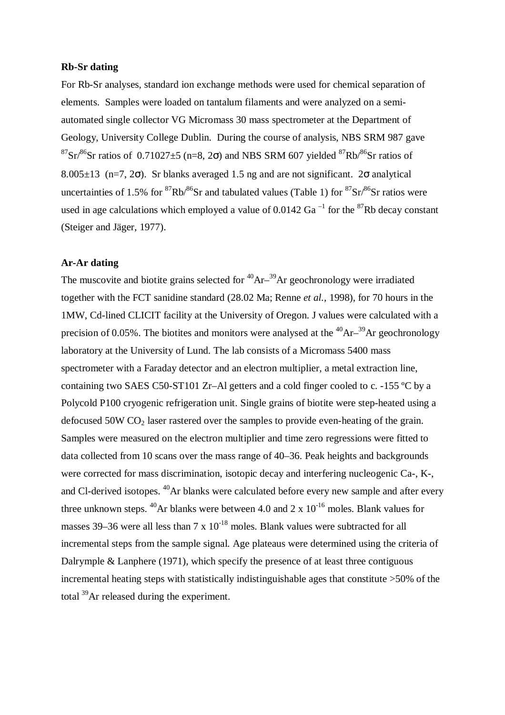### **Rb-Sr dating**

For Rb-Sr analyses, standard ion exchange methods were used for chemical separation of elements. Samples were loaded on tantalum filaments and were analyzed on a semiautomated single collector VG Micromass 30 mass spectrometer at the Department of Geology, University College Dublin. During the course of analysis, NBS SRM 987 gave  $87\text{Sr}^{86}\text{Sr}$  ratios of 0.71027 $\pm$ 5 (n=8, 2 $\sigma$ ) and NBS SRM 607 yielded  $87\text{Rb}^{86}\text{Sr}$  ratios of 8.005 $\pm$ 13 (n=7, 2 $\sigma$ ). Sr blanks averaged 1.5 ng and are not significant. 2 $\sigma$  analytical uncertainties of 1.5% for <sup>87</sup>Rb/<sup>86</sup>Sr and tabulated values (Table 1) for  ${}^{87}Sr$ <sup>86</sup>Sr ratios were used in age calculations which employed a value of  $0.0142$  Ga<sup> $-1$ </sup> for the <sup>87</sup>Rb decay constant (Steiger and Jäger, 1977).

## **Ar-Ar dating**

The muscovite and biotite grains selected for  ${}^{40}Ar-{}^{39}Ar$  geochronology were irradiated together with the FCT sanidine standard (28.02 Ma; Renne *et al.,* 1998), for 70 hours in the 1MW, Cd-lined CLICIT facility at the University of Oregon. J values were calculated with a precision of 0.05%. The biotites and monitors were analysed at the  ${}^{40}Ar-{}^{39}Ar$  geochronology laboratory at the University of Lund. The lab consists of a Micromass 5400 mass spectrometer with a Faraday detector and an electron multiplier, a metal extraction line, containing two SAES C50-ST101 Zr–Al getters and a cold finger cooled to c. -155 ºC by a Polycold P100 cryogenic refrigeration unit. Single grains of biotite were step-heated using a defocused  $50W CO<sub>2</sub>$  laser rastered over the samples to provide even-heating of the grain. Samples were measured on the electron multiplier and time zero regressions were fitted to data collected from 10 scans over the mass range of 40–36. Peak heights and backgrounds were corrected for mass discrimination, isotopic decay and interfering nucleogenic Ca-, K-, and Cl-derived isotopes. <sup>40</sup>Ar blanks were calculated before every new sample and after every three unknown steps. <sup>40</sup>Ar blanks were between 4.0 and 2 x  $10^{-16}$  moles. Blank values for masses 39–36 were all less than 7 x  $10^{-18}$  moles. Blank values were subtracted for all incremental steps from the sample signal. Age plateaus were determined using the criteria of Dalrymple & Lanphere (1971), which specify the presence of at least three contiguous incremental heating steps with statistically indistinguishable ages that constitute >50% of the total <sup>39</sup>Ar released during the experiment.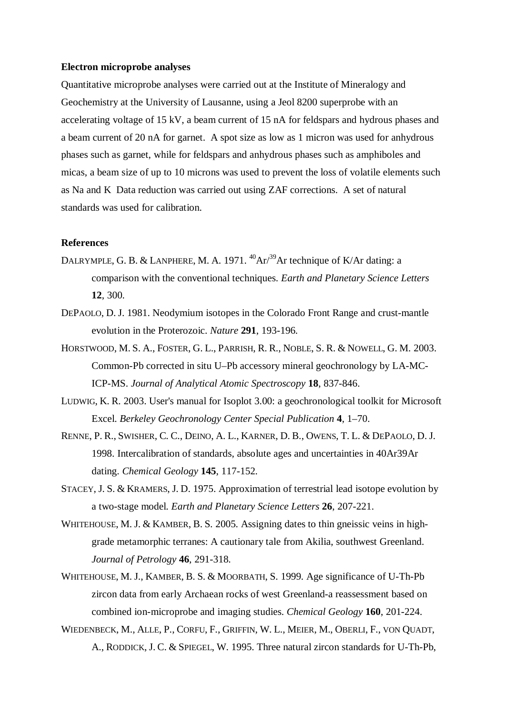#### **Electron microprobe analyses**

Quantitative microprobe analyses were carried out at the Institute of Mineralogy and Geochemistry at the University of Lausanne, using a Jeol 8200 superprobe with an accelerating voltage of 15 kV, a beam current of 15 nA for feldspars and hydrous phases and a beam current of 20 nA for garnet. A spot size as low as 1 micron was used for anhydrous phases such as garnet, while for feldspars and anhydrous phases such as amphiboles and micas, a beam size of up to 10 microns was used to prevent the loss of volatile elements such as Na and K Data reduction was carried out using ZAF corrections. A set of natural standards was used for calibration.

## **References**

- DALRYMPLE, G. B. & LANPHERE, M. A. 1971.  $^{40}Ar^{39}Ar$  technique of K/Ar dating: a comparison with the conventional techniques. *Earth and Planetary Science Letters* **12**, 300.
- DEPAOLO, D. J. 1981. Neodymium isotopes in the Colorado Front Range and crust-mantle evolution in the Proterozoic. *Nature* **291**, 193-196.
- HORSTWOOD, M. S. A., FOSTER, G. L., PARRISH, R. R., NOBLE, S. R. & NOWELL, G. M. 2003. Common-Pb corrected in situ U–Pb accessory mineral geochronology by LA-MC-ICP-MS. *Journal of Analytical Atomic Spectroscopy* **18**, 837-846.
- LUDWIG, K. R. 2003. User's manual for Isoplot 3.00: a geochronological toolkit for Microsoft Excel. *Berkeley Geochronology Center Special Publication* **4**, 1–70.
- RENNE, P. R., SWISHER, C. C., DEINO, A. L., KARNER, D. B., OWENS, T. L. & DEPAOLO, D. J. 1998. Intercalibration of standards, absolute ages and uncertainties in 40Ar39Ar dating. *Chemical Geology* **145**, 117-152.
- STACEY, J. S. & KRAMERS, J. D. 1975. Approximation of terrestrial lead isotope evolution by a two-stage model. *Earth and Planetary Science Letters* **26**, 207-221.
- WHITEHOUSE, M. J. & KAMBER, B. S. 2005. Assigning dates to thin gneissic veins in highgrade metamorphic terranes: A cautionary tale from Akilia, southwest Greenland. *Journal of Petrology* **46**, 291-318.
- WHITEHOUSE, M. J., KAMBER, B. S. & MOORBATH, S. 1999. Age significance of U-Th-Pb zircon data from early Archaean rocks of west Greenland-a reassessment based on combined ion-microprobe and imaging studies. *Chemical Geology* **160**, 201-224.
- WIEDENBECK, M., ALLE, P., CORFU, F., GRIFFIN, W. L., MEIER, M., OBERLI, F., VON QUADT, A., RODDICK, J. C. & SPIEGEL, W. 1995. Three natural zircon standards for U-Th-Pb,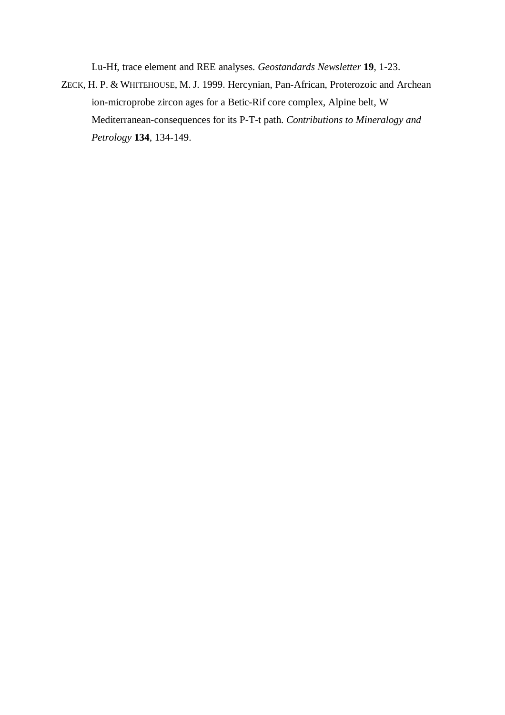Lu-Hf, trace element and REE analyses. *Geostandards Newsletter* **19**, 1-23.

ZECK, H. P. & WHITEHOUSE, M. J. 1999. Hercynian, Pan-African, Proterozoic and Archean ion-microprobe zircon ages for a Betic-Rif core complex, Alpine belt, W Mediterranean-consequences for its P-T-t path. *Contributions to Mineralogy and Petrology* **134**, 134-149.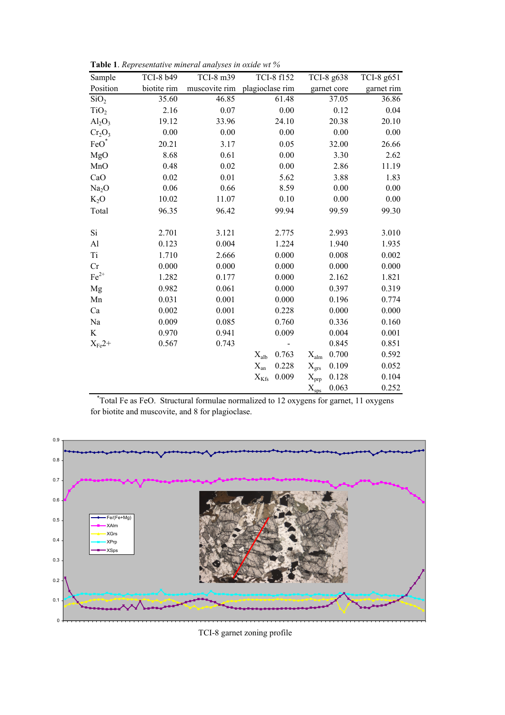| Sample                         | TCI-8 b49   | TCI-8 m39     | TCI-8 f152                | TCI-8 g638                | TCI-8 g651 |
|--------------------------------|-------------|---------------|---------------------------|---------------------------|------------|
| Position                       | biotite rim | muscovite rim | plagioclase rim           | garnet core               | garnet rim |
| SiO <sub>2</sub>               | 35.60       | 46.85         | 61.48                     | 37.05                     | 36.86      |
| TiO <sub>2</sub>               | 2.16        | 0.07          | 0.00                      | 0.12                      | 0.04       |
| $Al_2O_3$                      | 19.12       | 33.96         | 24.10                     | 20.38                     | 20.10      |
| Cr <sub>2</sub> O <sub>3</sub> | 0.00        | 0.00          | 0.00                      | 0.00                      | 0.00       |
| FeO                            | 20.21       | 3.17          | 0.05                      | 32.00                     | 26.66      |
| MgO                            | 8.68        | 0.61          | 0.00                      | 3.30                      | 2.62       |
| MnO                            | 0.48        | 0.02          | 0.00                      | 2.86                      | 11.19      |
| CaO                            | 0.02        | 0.01          | 5.62                      | 3.88                      | 1.83       |
| Na <sub>2</sub> O              | 0.06        | 0.66          | 8.59                      | 0.00                      | 0.00       |
| $K_2O$                         | 10.02       | 11.07         | 0.10                      | 0.00                      | 0.00       |
| Total                          | 96.35       | 96.42         | 99.94                     | 99.59                     | 99.30      |
|                                |             |               |                           |                           |            |
| Si                             | 2.701       | 3.121         | 2.775                     | 2.993                     | 3.010      |
| Al                             | 0.123       | 0.004         | 1.224                     | 1.940                     | 1.935      |
| Ti                             | 1.710       | 2.666         | 0.000                     | 0.008                     | 0.002      |
| Cr                             | 0.000       | 0.000         | 0.000                     | 0.000                     | 0.000      |
| $\mathrm{Fe}^{2+}$             | 1.282       | 0.177         | 0.000                     | 2.162                     | 1.821      |
| Mg                             | 0.982       | 0.061         | 0.000                     | 0.397                     | 0.319      |
| Mn                             | 0.031       | 0.001         | 0.000                     | 0.196                     | 0.774      |
| Ca                             | 0.002       | 0.001         | 0.228                     | 0.000                     | 0.000      |
| Na                             | 0.009       | 0.085         | 0.760                     | 0.336                     | 0.160      |
| K                              | 0.970       | 0.941         | 0.009                     | 0.004                     | 0.001      |
| $X_{Fe}2+$                     | 0.567       | 0.743         |                           | 0.845                     | 0.851      |
|                                |             |               | 0.763<br>$X_{\text{alb}}$ | 0.700<br>$X_{\text{alm}}$ | 0.592      |
|                                |             |               | $X_{an}$<br>0.228         | 0.109<br>$X_{\rm{grs}}$   | 0.052      |
|                                |             |               | 0.009<br>$X_{Kfs}$        | 0.128<br>$X_{prp}$        | 0.104      |
|                                |             |               |                           | 0.063<br>$X_{\rm sps}$    | 0.252      |

Table 1. Representative mineral analyses in oxide wt %

\* Total Fe as FeO. Structural formulae normalized to 12 oxygens for garnet, 11 oxygens for biotite and muscovite, and 8 for plagioclase.



TCI-8 garnet zoning profile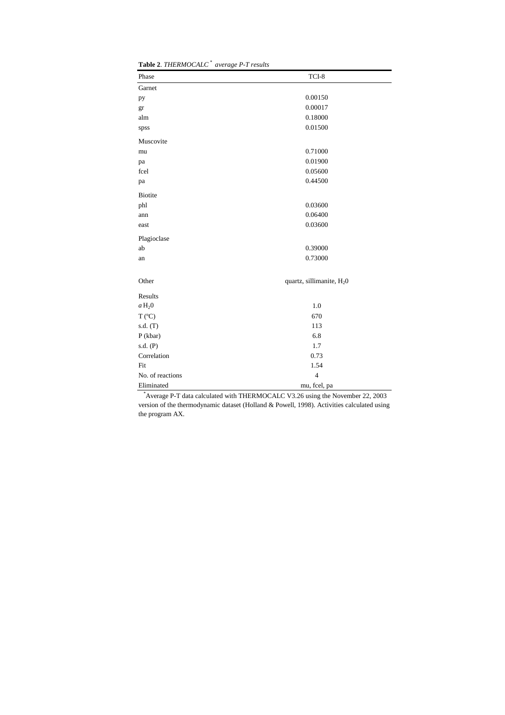| <b>Table 2.</b> THENMOUALU | <i>uverage r-1 results</i>            |
|----------------------------|---------------------------------------|
| Phase                      | TCI-8                                 |
| Garnet                     |                                       |
| pу                         | 0.00150                               |
| gr                         | 0.00017                               |
| alm                        | 0.18000                               |
| spss                       | 0.01500                               |
| Muscovite                  |                                       |
| mu                         | 0.71000                               |
| pa                         | 0.01900                               |
| fcel                       | 0.05600                               |
| pa                         | 0.44500                               |
| <b>Biotite</b>             |                                       |
| phl                        | 0.03600                               |
| ann                        | 0.06400                               |
| east                       | 0.03600                               |
| Plagioclase                |                                       |
| ab                         | 0.39000                               |
| an                         | 0.73000                               |
| Other                      | quartz, sillimanite, H <sub>2</sub> 0 |
| Results                    |                                       |
| $a\,\mathrm{H}_20$         | 1.0                                   |
| $T (^{\circ}C)$            | 670                                   |
| s.d. (T)                   | 113                                   |
| P (kbar)                   | 6.8                                   |
| s.d. (P)                   | 1.7                                   |
| Correlation                | 0.73                                  |
| Fit                        | 1.54                                  |
| No. of reactions           | $\overline{4}$                        |
| Eliminated                 | mu, fcel, pa                          |

**Table 2**. *THERMOCALC \* average P-T results*

 \*Average P-T data calculated with THERMOCALC V3.26 using the November 22, 2003 version of the thermodynamic dataset (Holland & Powell, 1998). Activities calculated using the program AX.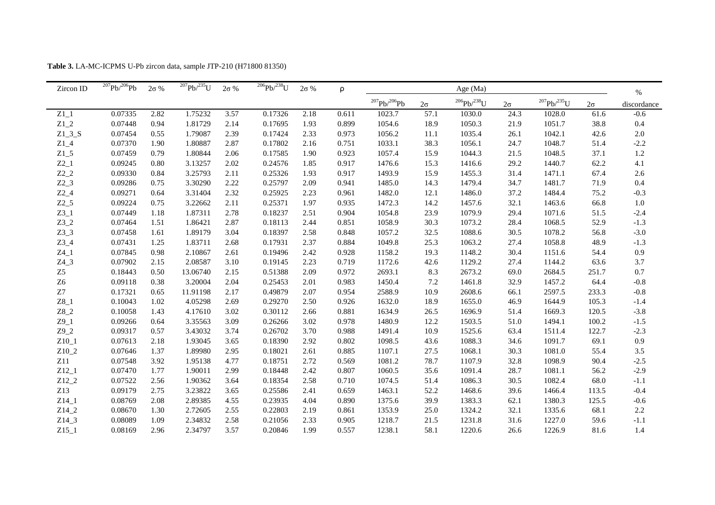| Zircon ID      | $\sqrt[207]{Pb}^{206}Pb$ | $2\sigma$ % | $\frac{207}{Pb}$ /235U | $2\sigma$ % | $^{206}Pb/^{238}U$ | $2\sigma$ % | ρ     |                     |           | Age $(Ma)$         |           |                    |           | $\%$        |
|----------------|--------------------------|-------------|------------------------|-------------|--------------------|-------------|-------|---------------------|-----------|--------------------|-----------|--------------------|-----------|-------------|
|                |                          |             |                        |             |                    |             |       | $^{207}Pb/^{206}Pb$ | $2\sigma$ | $^{206}Pb/^{238}U$ | $2\sigma$ | $^{207}Pb/^{235}U$ | $2\sigma$ | discordance |
| $Z1_1$         | 0.07335                  | 2.82        | 1.75232                | 3.57        | 0.17326            | 2.18        | 0.611 | 1023.7              | 57.1      | 1030.0             | 24.3      | 1028.0             | 61.6      | $-0.6$      |
| $Z1_2$         | 0.07448                  | 0.94        | 1.81729                | 2.14        | 0.17695            | 1.93        | 0.899 | 1054.6              | 18.9      | 1050.3             | 21.9      | 1051.7             | 38.8      | 0.4         |
| $Z1_3_S$       | 0.07454                  | 0.55        | 1.79087                | 2.39        | 0.17424            | 2.33        | 0.973 | 1056.2              | $11.1\,$  | 1035.4             | 26.1      | 1042.1             | 42.6      | $2.0\,$     |
| $Z1_4$         | 0.07370                  | 1.90        | 1.80887                | 2.87        | 0.17802            | 2.16        | 0.751 | 1033.1              | 38.3      | 1056.1             | 24.7      | 1048.7             | 51.4      | $-2.2$      |
| $Z1_{-}5$      | 0.07459                  | 0.79        | 1.80844                | 2.06        | 0.17585            | 1.90        | 0.923 | 1057.4              | 15.9      | 1044.3             | 21.5      | 1048.5             | 37.1      | $1.2\,$     |
| $Z2_1$         | 0.09245                  | 0.80        | 3.13257                | 2.02        | 0.24576            | 1.85        | 0.917 | 1476.6              | 15.3      | 1416.6             | 29.2      | 1440.7             | 62.2      | 4.1         |
| $Z2_2$         | 0.09330                  | 0.84        | 3.25793                | 2.11        | 0.25326            | 1.93        | 0.917 | 1493.9              | 15.9      | 1455.3             | 31.4      | 1471.1             | 67.4      | 2.6         |
| $Z2_3$         | 0.09286                  | 0.75        | 3.30290                | 2.22        | 0.25797            | 2.09        | 0.941 | 1485.0              | 14.3      | 1479.4             | 34.7      | 1481.7             | 71.9      | 0.4         |
| $Z2_4$         | 0.09271                  | 0.64        | 3.31404                | 2.32        | 0.25925            | 2.23        | 0.961 | 1482.0              | 12.1      | 1486.0             | 37.2      | 1484.4             | 75.2      | $-0.3$      |
| $Z2_{-}5$      | 0.09224                  | 0.75        | 3.22662                | 2.11        | 0.25371            | 1.97        | 0.935 | 1472.3              | 14.2      | 1457.6             | 32.1      | 1463.6             | 66.8      | $1.0\,$     |
| $Z3_1$         | 0.07449                  | 1.18        | 1.87311                | 2.78        | 0.18237            | 2.51        | 0.904 | 1054.8              | 23.9      | 1079.9             | 29.4      | 1071.6             | 51.5      | $-2.4$      |
| $Z3_2$         | 0.07464                  | 1.51        | 1.86421                | 2.87        | 0.18113            | 2.44        | 0.851 | 1058.9              | 30.3      | 1073.2             | 28.4      | 1068.5             | 52.9      | $-1.3$      |
| $Z3_3$         | 0.07458                  | 1.61        | 1.89179                | 3.04        | 0.18397            | 2.58        | 0.848 | 1057.2              | 32.5      | 1088.6             | 30.5      | 1078.2             | 56.8      | $-3.0$      |
| $Z3_4$         | 0.07431                  | 1.25        | 1.83711                | 2.68        | 0.17931            | 2.37        | 0.884 | 1049.8              | 25.3      | 1063.2             | 27.4      | 1058.8             | 48.9      | $-1.3$      |
| $Z4_1$         | 0.07845                  | 0.98        | 2.10867                | 2.61        | 0.19496            | 2.42        | 0.928 | 1158.2              | 19.3      | 1148.2             | 30.4      | 1151.6             | 54.4      | 0.9         |
| $Z4_3$         | 0.07902                  | 2.15        | 2.08587                | 3.10        | 0.19145            | 2.23        | 0.719 | 1172.6              | 42.6      | 1129.2             | 27.4      | 1144.2             | 63.6      | 3.7         |
| ${\rm Z}5$     | 0.18443                  | 0.50        | 13.06740               | 2.15        | 0.51388            | 2.09        | 0.972 | 2693.1              | 8.3       | 2673.2             | 69.0      | 2684.5             | 251.7     | 0.7         |
| Z <sub>6</sub> | 0.09118                  | 0.38        | 3.20004                | 2.04        | 0.25453            | 2.01        | 0.983 | 1450.4              | 7.2       | 1461.8             | 32.9      | 1457.2             | 64.4      | $-0.8$      |
| ${\bf Z7}$     | 0.17321                  | 0.65        | 11.91198               | 2.17        | 0.49879            | 2.07        | 0.954 | 2588.9              | 10.9      | 2608.6             | 66.1      | 2597.5             | 233.3     | $-0.8$      |
| $Z8_1$         | 0.10043                  | 1.02        | 4.05298                | 2.69        | 0.29270            | 2.50        | 0.926 | 1632.0              | 18.9      | 1655.0             | 46.9      | 1644.9             | 105.3     | $-1.4$      |
| $Z8_2$         | 0.10058                  | 1.43        | 4.17610                | 3.02        | 0.30112            | 2.66        | 0.881 | 1634.9              | 26.5      | 1696.9             | 51.4      | 1669.3             | 120.5     | $-3.8$      |
| $Z9_1$         | 0.09266                  | 0.64        | 3.35563                | 3.09        | 0.26266            | 3.02        | 0.978 | 1480.9              | 12.2      | 1503.5             | 51.0      | 1494.1             | 100.2     | $-1.5$      |
| $Z9_2$         | 0.09317                  | 0.57        | 3.43032                | 3.74        | 0.26702            | 3.70        | 0.988 | 1491.4              | 10.9      | 1525.6             | 63.4      | 1511.4             | 122.7     | $-2.3$      |
| $Z10_1$        | 0.07613                  | 2.18        | 1.93045                | 3.65        | 0.18390            | 2.92        | 0.802 | 1098.5              | 43.6      | 1088.3             | 34.6      | 1091.7             | 69.1      | $0.9\,$     |
| $Z10_2$        | 0.07646                  | 1.37        | 1.89980                | 2.95        | 0.18021            | 2.61        | 0.885 | 1107.1              | 27.5      | 1068.1             | 30.3      | 1081.0             | 55.4      | $3.5\,$     |
| Z11            | 0.07548                  | 3.92        | 1.95138                | 4.77        | 0.18751            | 2.72        | 0.569 | 1081.2              | 78.7      | 1107.9             | 32.8      | 1098.9             | 90.4      | $-2.5$      |
| $Z12_1$        | 0.07470                  | 1.77        | 1.90011                | 2.99        | 0.18448            | 2.42        | 0.807 | 1060.5              | 35.6      | 1091.4             | 28.7      | 1081.1             | 56.2      | $-2.9$      |
| $Z12_2$        | 0.07522                  | 2.56        | 1.90362                | 3.64        | 0.18354            | 2.58        | 0.710 | 1074.5              | 51.4      | 1086.3             | 30.5      | 1082.4             | 68.0      | $-1.1$      |
| Z13            | 0.09179                  | 2.75        | 3.23822                | 3.65        | 0.25586            | 2.41        | 0.659 | 1463.1              | 52.2      | 1468.6             | 39.6      | 1466.4             | 113.5     | $-0.4$      |
| $Z14_1$        | 0.08769                  | 2.08        | 2.89385                | 4.55        | 0.23935            | 4.04        | 0.890 | 1375.6              | 39.9      | 1383.3             | 62.1      | 1380.3             | 125.5     | $-0.6$      |
| $Z14_2$        | 0.08670                  | 1.30        | 2.72605                | 2.55        | 0.22803            | 2.19        | 0.861 | 1353.9              | 25.0      | 1324.2             | 32.1      | 1335.6             | 68.1      | $2.2\,$     |
| $Z14_3$        | 0.08089                  | 1.09        | 2.34832                | 2.58        | 0.21056            | 2.33        | 0.905 | 1218.7              | 21.5      | 1231.8             | 31.6      | 1227.0             | 59.6      | $-1.1$      |
| $Z15_1$        | 0.08169                  | 2.96        | 2.34797                | 3.57        | 0.20846            | 1.99        | 0.557 | 1238.1              | 58.1      | 1220.6             | 26.6      | 1226.9             | 81.6      | 1.4         |

**Table 3.** LA-MC-ICPMS U-Pb zircon data, sample JTP-210 (H71800 81350)